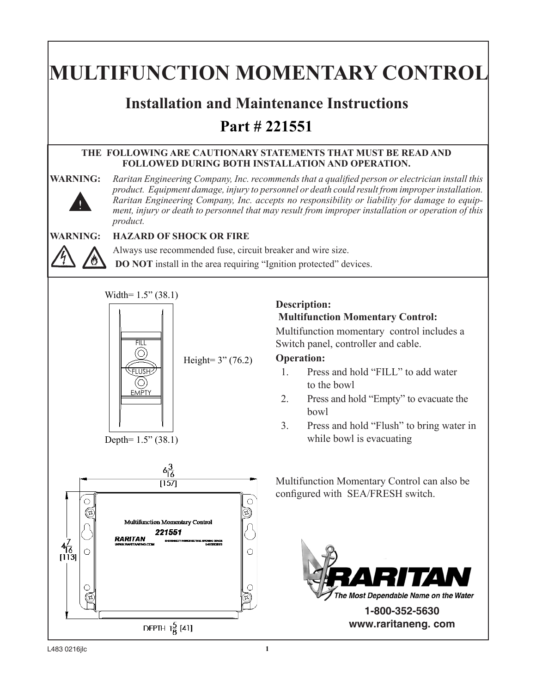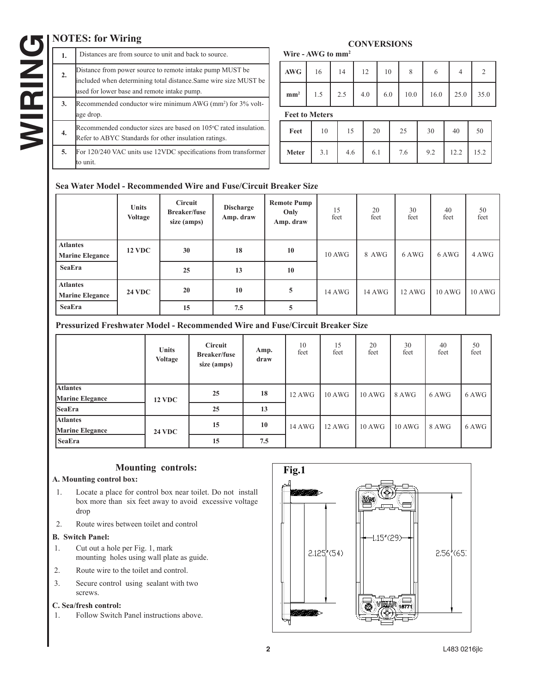# **NOTES: for Wiring**

### **1.** Distances are from source to unit and back to source. 2. Distance from power source to remote intake pump MUST be included when determining total distance.Same wire size MUST be used for lower base and remote intake pump. **3.** Recommended conductor wire minimum AWG (mm<sup>2</sup>) for 3% voltage drop. **4.** Recommended conductor sizes are based on 105°C rated insulation. Refer to ABYC Standards for other insulation ratings. **5.** For 120/240 VAC units use 12VDC specifications from transformer to unit.

#### **CONVERSIONS Wire - AWG to mm2**

| AWG 16 14 12 |  | <sup>10</sup> |                                                            |  |
|--------------|--|---------------|------------------------------------------------------------|--|
|              |  |               | $mm^2$   1.5   2.5   4.0   6.0   10.0   16.0   25.0   35.0 |  |

**Feet to Meters**

| Feet         | 10  | 15  | 20  | 25  | 30  | 40   | 50   |
|--------------|-----|-----|-----|-----|-----|------|------|
| <b>Meter</b> | 3.1 | 4.6 | 6.1 | 7.6 | 9.2 | 12.2 | 15.2 |

### **Sea Water Model - Recommended Wire and Fuse/Circuit Breaker Size**

|                                           | <b>Units</b><br>Voltage | <b>Circuit</b><br><b>Breaker/fuse</b><br>size (amps) | <b>Discharge</b><br>Amp. draw | <b>Remote Pump</b><br>Only<br>Amp. draw | 15<br>feet | 20<br>feet | 30<br>feet | 40<br>feet | 50<br>feet |
|-------------------------------------------|-------------------------|------------------------------------------------------|-------------------------------|-----------------------------------------|------------|------------|------------|------------|------------|
| <b>Atlantes</b><br><b>Marine Elegance</b> | <b>12 VDC</b>           | 30                                                   | 18                            | 10                                      | 10 AWG     | 8 AWG      | 6 AWG      | 6 AWG      | 4 AWG      |
| <b>SeaEra</b>                             |                         | 25                                                   | 13                            | 10                                      |            |            |            |            |            |
| <b>Atlantes</b><br><b>Marine Elegance</b> | <b>24 VDC</b>           | 20                                                   | 10                            | 5                                       | 14 AWG     | 14 AWG     | 12 AWG     | 10 AWG     | 10 AWG     |
| <b>SeaEra</b>                             |                         | 15                                                   | 7.5                           | 5                                       |            |            |            |            |            |

### **Pressurized Freshwater Model - Recommended Wire and Fuse/Circuit Breaker Size**

|                                           | <b>Units</b><br>Voltage | <b>Circuit</b><br><b>Breaker/fuse</b><br>size (amps) | Amp.<br>draw | 10<br>feet | 15<br>feet       | 20<br>feet | 30<br>feet | 40<br>feet | 50<br>feet |
|-------------------------------------------|-------------------------|------------------------------------------------------|--------------|------------|------------------|------------|------------|------------|------------|
| <b>Atlantes</b><br><b>Marine Elegance</b> | <b>12 VDC</b>           | 25                                                   | 18           | 12 AWG     | 10 AWG           | 10 AWG     | 8 AWG      | 6 AWG      | 6 AWG      |
| <b>SeaEra</b>                             |                         | 25                                                   | 13           |            |                  |            |            |            |            |
| <b>Atlantes</b><br><b>Marine Elegance</b> | <b>24 VDC</b>           | 15                                                   | 10           | 14 AWG     | $12 \text{ AWG}$ | 10 AWG     | 10 AWG     | 8 AWG      | 6 AWG      |
| SeaEra                                    |                         | 15                                                   | 7.5          |            |                  |            |            |            |            |

### **Mounting controls:**

### **A. Mounting control box:**

- 1. Locate a place for control box near toilet. Do not install box more than six feet away to avoid excessive voltage drop
- 2. Route wires between toilet and control

### **B. Switch Panel:**

- 1. Cut out a hole per Fig. 1, mark mounting holes using wall plate as guide.
- 2. Route wire to the toilet and control.
- 3. Secure control using sealant with two screws.

#### **C. Sea/fresh control:**

1. Follow Switch Panel instructions above.

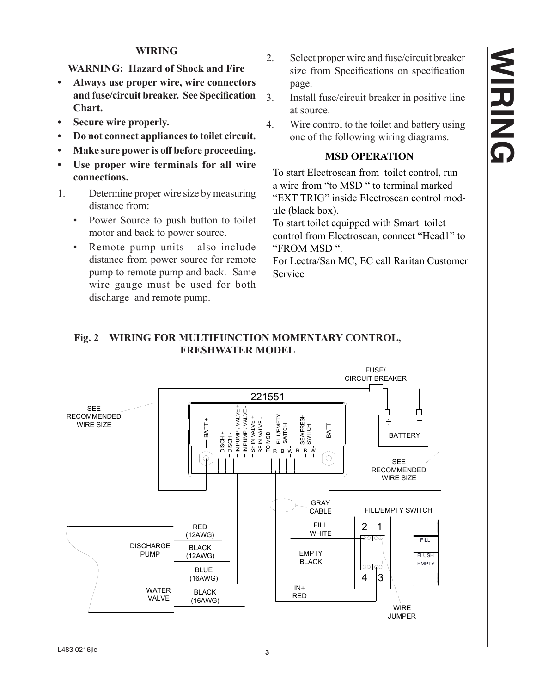## **WIRING**

## **WARNING: Hazard of Shock and Fire**

- **• Always use proper wire, wire connectors and fuse/circuit breaker. See Specification Chart.**
- **Secure** wire properly.
- **Do** not connect appliances to toilet circuit.
- **• Make sure power is off before proceeding.**
- **• Use proper wire terminals for all wire connections.**
- 1. Determine proper wire size by measuring distance from:
	- Power Source to push button to toilet motor and back to power source.
	- Remote pump units also include distance from power source for remote pump to remote pump and back. Same wire gauge must be used for both discharge and remote pump.
- 2. Select proper wire and fuse/circuit breaker size from Specifications on specification page.
- 3. Install fuse/circuit breaker in positive line at source.
- 4. Wire control to the toilet and battery using one of the following wiring diagrams.

### **MSD OPERATION**

To start Electroscan from toilet control, run a wire from "to MSD " to terminal marked "EXT TRIG" inside Electroscan control module (black box).

To start toilet equipped with Smart toilet control from Electroscan, connect "Head1" to "FROM MSD ".

For Lectra/San MC, EC call Raritan Customer Service